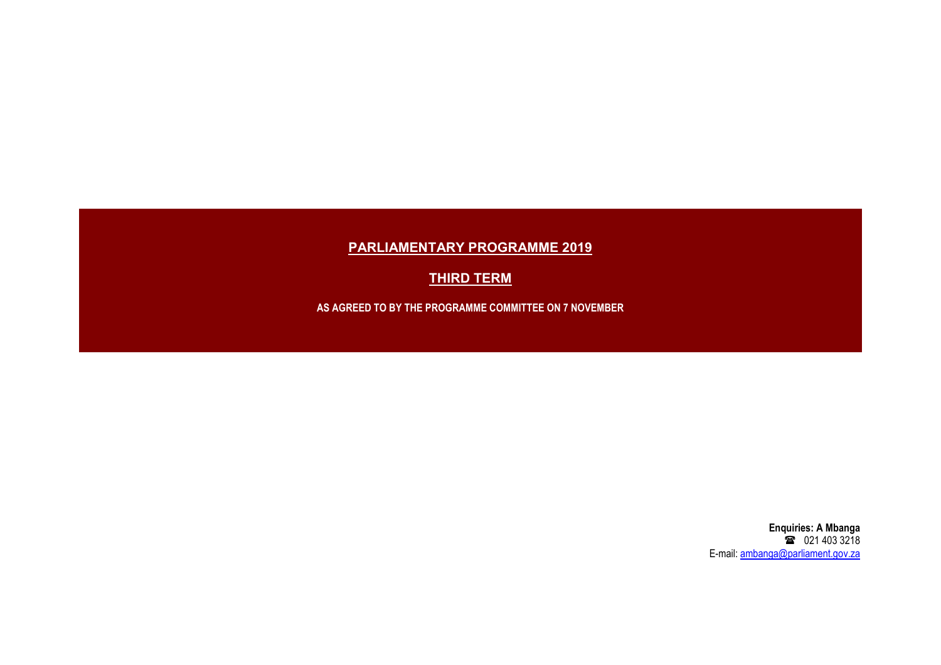## PARLIAMENTARY PROGRAMME 2019

**THIRD TERM** 

AS AGREED TO BY THE PROGRAMME COMMITTEE ON 7 NOVEMBER

Enquiries: A Mbanga **12** 021 403 3218 E-mail: ambanga@parliament.gov.za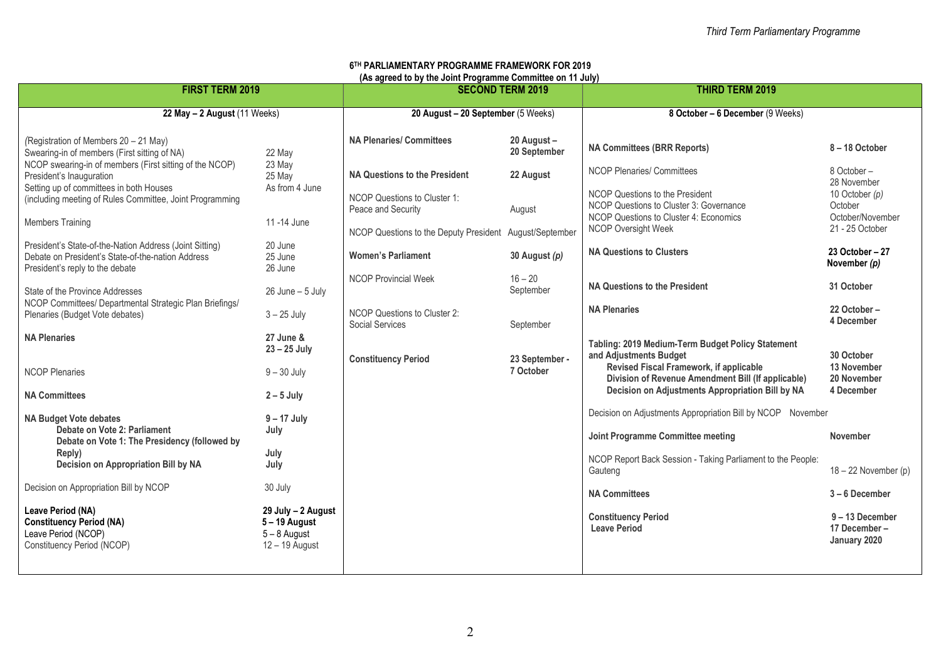## 6 TH PARLIAMENTARY PROGRAMME FRAMEWORK FOR 2019 (As agreed to by the Joint Programme Committee on 11 July)

| FIRST TERM 2019                                                                                                                                  |                                                                         | $(A \cup B)$ and the state $B$ and $B$ and $B$ and $B$ and $B$ and $B$ and $B$ and $B$ are $B$ and $B$ are $B$ and $B$ are $B$ and $B$ are $B$ and $B$ are $B$ and $B$ are $B$ and $B$ are $B$ and $B$ are $B$ and $B$ are $B$ and<br><b>SECOND TERM 2019</b> |                             | <b>THIRD TERM 2019</b>                                                                                               |                                               |
|--------------------------------------------------------------------------------------------------------------------------------------------------|-------------------------------------------------------------------------|---------------------------------------------------------------------------------------------------------------------------------------------------------------------------------------------------------------------------------------------------------------|-----------------------------|----------------------------------------------------------------------------------------------------------------------|-----------------------------------------------|
| 22 May - 2 August (11 Weeks)                                                                                                                     |                                                                         | 20 August - 20 September (5 Weeks)                                                                                                                                                                                                                            |                             | 8 October - 6 December (9 Weeks)                                                                                     |                                               |
| (Registration of Members 20 - 21 May)<br>Swearing-in of members (First sitting of NA)<br>NCOP swearing-in of members (First sitting of the NCOP) | 22 May<br>23 May                                                        | <b>NA Plenaries/ Committees</b>                                                                                                                                                                                                                               | 20 August -<br>20 September | <b>NA Committees (BRR Reports)</b>                                                                                   | 8-18 October                                  |
| President's Inauguration<br>Setting up of committees in both Houses                                                                              | 25 May<br>As from 4 June                                                | NA Questions to the President                                                                                                                                                                                                                                 | 22 August                   | <b>NCOP Plenaries/ Committees</b>                                                                                    | 8 October-<br>28 November                     |
| (including meeting of Rules Committee, Joint Programming                                                                                         |                                                                         | NCOP Questions to Cluster 1:<br>Peace and Security                                                                                                                                                                                                            | August                      | NCOP Questions to the President<br>NCOP Questions to Cluster 3: Governance<br>NCOP Questions to Cluster 4: Economics | 10 October (p)<br>October<br>October/November |
| <b>Members Training</b>                                                                                                                          | 11-14 June                                                              | NCOP Questions to the Deputy President                                                                                                                                                                                                                        | August/September            | <b>NCOP Oversight Week</b>                                                                                           | 21 - 25 October                               |
| President's State-of-the-Nation Address (Joint Sitting)<br>Debate on President's State-of-the-nation Address<br>President's reply to the debate  | 20 June<br>25 June<br>26 June                                           | <b>Women's Parliament</b>                                                                                                                                                                                                                                     | 30 August (p)               | <b>NA Questions to Clusters</b>                                                                                      | 23 October - 27<br>November $(p)$             |
| State of the Province Addresses                                                                                                                  | $26$ June $-5$ July                                                     | <b>NCOP Provincial Week</b>                                                                                                                                                                                                                                   | $16 - 20$<br>September      | NA Questions to the President                                                                                        | 31 October                                    |
| NCOP Committees/ Departmental Strategic Plan Briefings/<br>Plenaries (Budget Vote debates)                                                       | $3 - 25$ July                                                           | NCOP Questions to Cluster 2:<br>Social Services                                                                                                                                                                                                               | September                   | <b>NA Plenaries</b>                                                                                                  | 22 October-<br>4 December                     |
| <b>NA Plenaries</b>                                                                                                                              | 27 June &<br>$23 - 25$ July                                             | <b>Constituency Period</b>                                                                                                                                                                                                                                    | 23 September -              | Tabling: 2019 Medium-Term Budget Policy Statement<br>and Adjustments Budget                                          | 30 October                                    |
| <b>NCOP Plenaries</b>                                                                                                                            | $9 - 30$ July                                                           |                                                                                                                                                                                                                                                               | 7 October                   | Revised Fiscal Framework, if applicable<br>Division of Revenue Amendment Bill (If applicable)                        | 13 November<br>20 November                    |
| <b>NA Committees</b>                                                                                                                             | $2 - 5$ July                                                            |                                                                                                                                                                                                                                                               |                             | Decision on Adjustments Appropriation Bill by NA                                                                     | 4 December                                    |
| <b>NA Budget Vote debates</b><br>Debate on Vote 2: Parliament                                                                                    | $9 - 17$ July<br>July                                                   |                                                                                                                                                                                                                                                               |                             | Decision on Adjustments Appropriation Bill by NCOP November                                                          |                                               |
| Debate on Vote 1: The Presidency (followed by<br>Reply)                                                                                          | July                                                                    |                                                                                                                                                                                                                                                               |                             | Joint Programme Committee meeting                                                                                    | November                                      |
| Decision on Appropriation Bill by NA                                                                                                             | July                                                                    |                                                                                                                                                                                                                                                               |                             | NCOP Report Back Session - Taking Parliament to the People:<br>Gauteng                                               | $18 - 22$ November (p)                        |
| Decision on Appropriation Bill by NCOP                                                                                                           | 30 July                                                                 |                                                                                                                                                                                                                                                               |                             | <b>NA Committees</b>                                                                                                 | 3-6 December                                  |
| Leave Period (NA)<br><b>Constituency Period (NA)</b><br>Leave Period (NCOP)<br>Constituency Period (NCOP)                                        | 29 July - 2 August<br>5-19 August<br>$5 - 8$ August<br>$12 - 19$ August |                                                                                                                                                                                                                                                               |                             | <b>Constituency Period</b><br><b>Leave Period</b>                                                                    | 9-13 December<br>17 December-<br>January 2020 |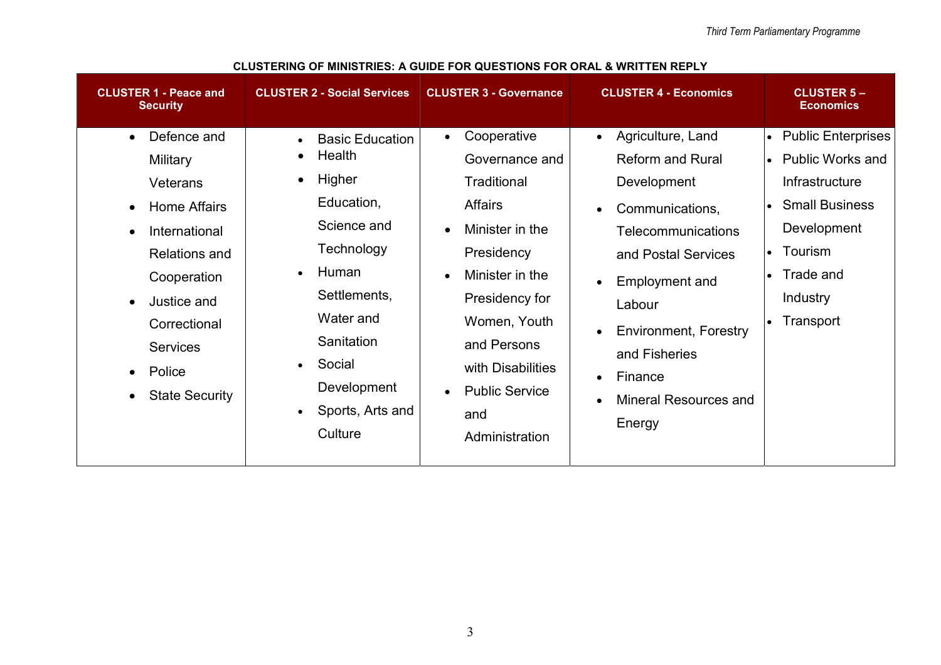| <b>CLUSTER 1 - Peace and</b><br><b>Security</b>                                                                                                                                                                                                                                       | <b>CLUSTER 2 - Social Services</b>                                                                                                                                                                | <b>CLUSTER 3 - Governance</b>                                                                                                                                                                                                                                                                  | <b>CLUSTER 4 - Economics</b>                                                                                                                                                                                                                                                                                                                | <b>CLUSTER 5-</b><br><b>Economics</b>                                                                                                                              |
|---------------------------------------------------------------------------------------------------------------------------------------------------------------------------------------------------------------------------------------------------------------------------------------|---------------------------------------------------------------------------------------------------------------------------------------------------------------------------------------------------|------------------------------------------------------------------------------------------------------------------------------------------------------------------------------------------------------------------------------------------------------------------------------------------------|---------------------------------------------------------------------------------------------------------------------------------------------------------------------------------------------------------------------------------------------------------------------------------------------------------------------------------------------|--------------------------------------------------------------------------------------------------------------------------------------------------------------------|
| Defence and<br>$\bullet$<br>Military<br>Veterans<br><b>Home Affairs</b><br>$\bullet$<br>International<br>$\bullet$<br><b>Relations and</b><br>Cooperation<br>Justice and<br>$\bullet$<br>Correctional<br><b>Services</b><br>Police<br>$\bullet$<br><b>State Security</b><br>$\bullet$ | <b>Basic Education</b><br>Health<br>Higher<br>Education,<br>Science and<br>Technology<br>Human<br>Settlements,<br>Water and<br>Sanitation<br>Social<br>Development<br>Sports, Arts and<br>Culture | Cooperative<br>$\bullet$<br>Governance and<br>Traditional<br><b>Affairs</b><br>Minister in the<br>$\bullet$<br>Presidency<br>Minister in the<br>$\bullet$<br>Presidency for<br>Women, Youth<br>and Persons<br>with Disabilities<br><b>Public Service</b><br>$\bullet$<br>and<br>Administration | Agriculture, Land<br>$\bullet$<br><b>Reform and Rural</b><br>Development<br>Communications,<br>$\bullet$<br>Telecommunications<br>and Postal Services<br>Employment and<br>$\bullet$<br>Labour<br><b>Environment, Forestry</b><br>$\bullet$<br>and Fisheries<br>Finance<br>$\bullet$<br><b>Mineral Resources and</b><br>$\bullet$<br>Energy | • Public Enterprises<br>• Public Works and<br>Infrastructure<br><b>Small Business</b><br>Development<br>Tourism<br>$\bullet$<br>Trade and<br>Industry<br>Transport |

CLUSTERING OF MINISTRIES: A GUIDE FOR QUESTIONS FOR ORAL & WRITTEN REPLY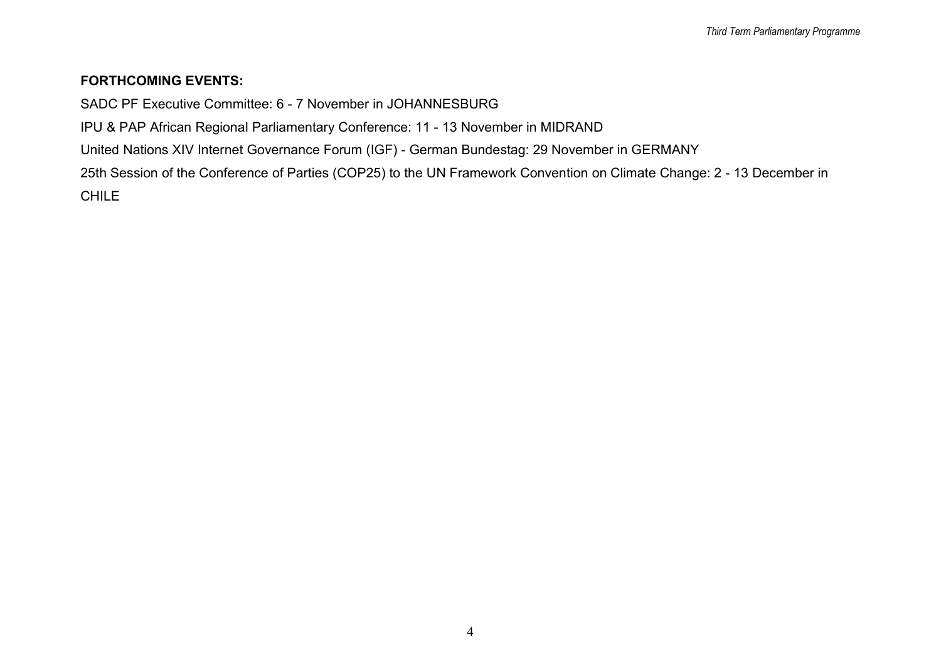## FORTHCOMING EVENTS:

SADC PF Executive Committee: 6 - 7 November in JOHANNESBURG

IPU & PAP African Regional Parliamentary Conference: 11 - 13 November in MIDRAND

United Nations XIV Internet Governance Forum (IGF) - German Bundestag: 29 November in GERMANY

25th Session of the Conference of Parties (COP25) to the UN Framework Convention on Climate Change: 2 - 13 December in CHILE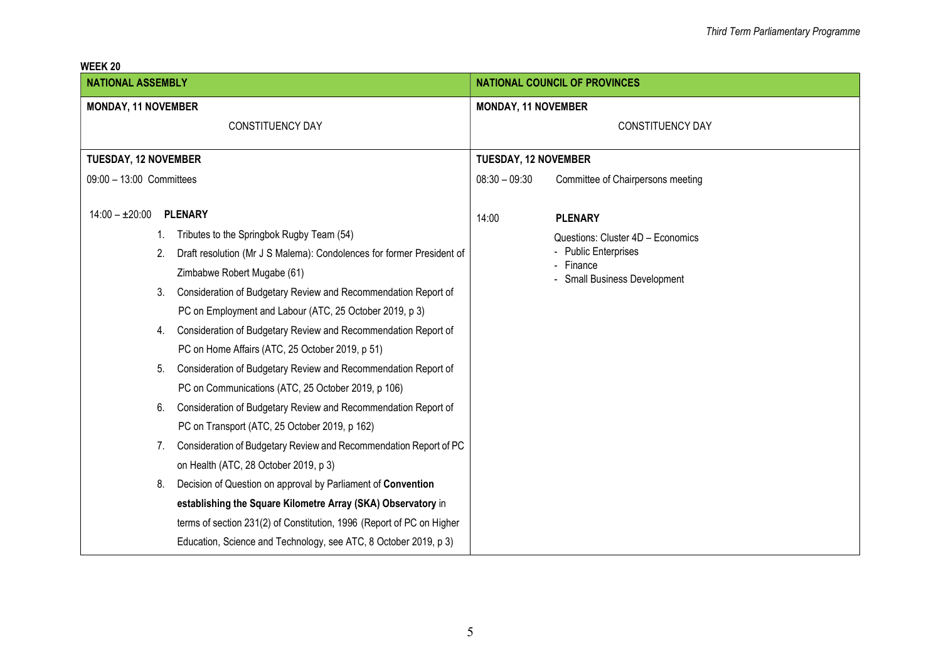| <b>NATIONAL ASSEMBLY</b>                                                    | <b>NATIONAL COUNCIL OF PROVINCES</b>                 |  |  |
|-----------------------------------------------------------------------------|------------------------------------------------------|--|--|
| <b>MONDAY, 11 NOVEMBER</b>                                                  | <b>MONDAY, 11 NOVEMBER</b>                           |  |  |
| <b>CONSTITUENCY DAY</b>                                                     | <b>CONSTITUENCY DAY</b>                              |  |  |
| <b>TUESDAY, 12 NOVEMBER</b>                                                 | <b>TUESDAY, 12 NOVEMBER</b>                          |  |  |
| 09:00 - 13:00 Committees                                                    | $08:30 - 09:30$<br>Committee of Chairpersons meeting |  |  |
|                                                                             |                                                      |  |  |
| $14:00 - \pm 20:00$<br><b>PLENARY</b>                                       | <b>PLENARY</b><br>14:00                              |  |  |
| Tributes to the Springbok Rugby Team (54)<br>1.                             | Questions: Cluster 4D - Economics                    |  |  |
| 2.<br>Draft resolution (Mr J S Malema): Condolences for former President of | <b>Public Enterprises</b><br>Finance                 |  |  |
| Zimbabwe Robert Mugabe (61)                                                 | <b>Small Business Development</b>                    |  |  |
| Consideration of Budgetary Review and Recommendation Report of<br>3.        |                                                      |  |  |
| PC on Employment and Labour (ATC, 25 October 2019, p 3)                     |                                                      |  |  |
| Consideration of Budgetary Review and Recommendation Report of<br>4.        |                                                      |  |  |
| PC on Home Affairs (ATC, 25 October 2019, p 51)                             |                                                      |  |  |
| Consideration of Budgetary Review and Recommendation Report of<br>5.        |                                                      |  |  |
| PC on Communications (ATC, 25 October 2019, p 106)                          |                                                      |  |  |
| 6.<br>Consideration of Budgetary Review and Recommendation Report of        |                                                      |  |  |
| PC on Transport (ATC, 25 October 2019, p 162)                               |                                                      |  |  |
| Consideration of Budgetary Review and Recommendation Report of PC<br>7.     |                                                      |  |  |
| on Health (ATC, 28 October 2019, p 3)                                       |                                                      |  |  |
| Decision of Question on approval by Parliament of Convention<br>8.          |                                                      |  |  |
| establishing the Square Kilometre Array (SKA) Observatory in                |                                                      |  |  |
| terms of section 231(2) of Constitution, 1996 (Report of PC on Higher       |                                                      |  |  |
| Education, Science and Technology, see ATC, 8 October 2019, p 3)            |                                                      |  |  |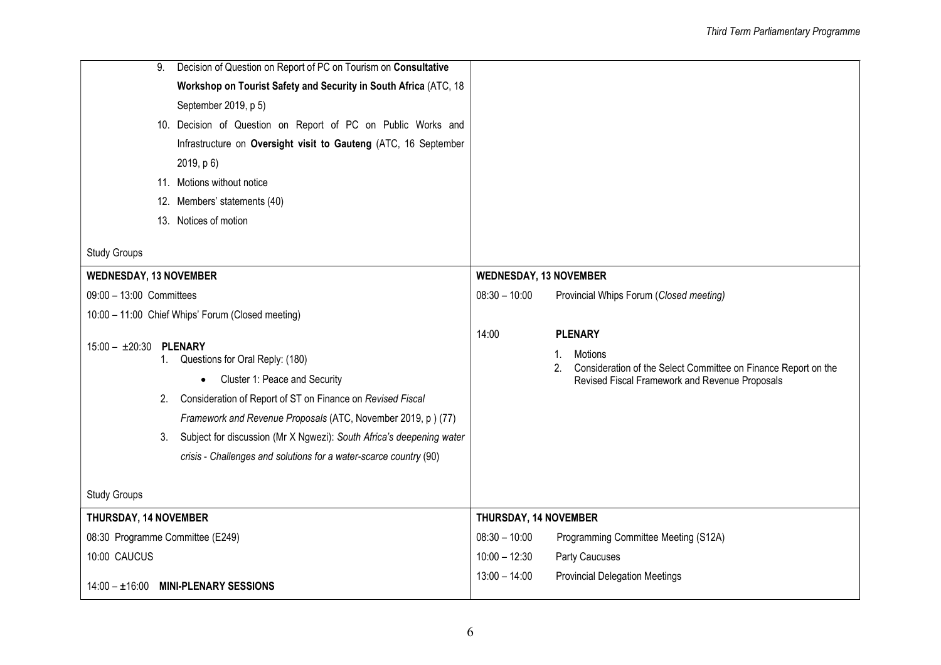| 9.                               | Decision of Question on Report of PC on Tourism on Consultative      |                               |                                                                                                                        |
|----------------------------------|----------------------------------------------------------------------|-------------------------------|------------------------------------------------------------------------------------------------------------------------|
|                                  | Workshop on Tourist Safety and Security in South Africa (ATC, 18     |                               |                                                                                                                        |
|                                  | September 2019, p 5)                                                 |                               |                                                                                                                        |
|                                  | 10. Decision of Question on Report of PC on Public Works and         |                               |                                                                                                                        |
|                                  | Infrastructure on Oversight visit to Gauteng (ATC, 16 September      |                               |                                                                                                                        |
|                                  | 2019, p 6)                                                           |                               |                                                                                                                        |
|                                  | 11. Motions without notice                                           |                               |                                                                                                                        |
|                                  | 12. Members' statements (40)                                         |                               |                                                                                                                        |
|                                  | 13. Notices of motion                                                |                               |                                                                                                                        |
|                                  |                                                                      |                               |                                                                                                                        |
| <b>Study Groups</b>              |                                                                      |                               |                                                                                                                        |
| <b>WEDNESDAY, 13 NOVEMBER</b>    |                                                                      | <b>WEDNESDAY, 13 NOVEMBER</b> |                                                                                                                        |
| 09:00 - 13:00 Committees         |                                                                      | $08:30 - 10:00$               | Provincial Whips Forum (Closed meeting)                                                                                |
|                                  | 10:00 - 11:00 Chief Whips' Forum (Closed meeting)                    |                               |                                                                                                                        |
| $15:00 - \pm 20:30$              | <b>PLENARY</b>                                                       | 14:00                         | <b>PLENARY</b>                                                                                                         |
|                                  | 1. Questions for Oral Reply: (180)                                   |                               | 1.<br>Motions                                                                                                          |
| Cluster 1: Peace and Security    |                                                                      |                               | Consideration of the Select Committee on Finance Report on the<br>2.<br>Revised Fiscal Framework and Revenue Proposals |
| 2.                               | Consideration of Report of ST on Finance on Revised Fiscal           |                               |                                                                                                                        |
|                                  | Framework and Revenue Proposals (ATC, November 2019, p) (77)         |                               |                                                                                                                        |
| 3.                               | Subject for discussion (Mr X Ngwezi): South Africa's deepening water |                               |                                                                                                                        |
|                                  | crisis - Challenges and solutions for a water-scarce country (90)    |                               |                                                                                                                        |
|                                  |                                                                      |                               |                                                                                                                        |
| <b>Study Groups</b>              |                                                                      |                               |                                                                                                                        |
| THURSDAY, 14 NOVEMBER            |                                                                      | THURSDAY, 14 NOVEMBER         |                                                                                                                        |
| 08:30 Programme Committee (E249) |                                                                      | $08:30 - 10:00$               | Programming Committee Meeting (S12A)                                                                                   |
| 10:00 CAUCUS                     |                                                                      | $10:00 - 12:30$               | Party Caucuses                                                                                                         |
|                                  | 14:00 - ±16:00 MINI-PLENARY SESSIONS                                 | $13:00 - 14:00$               | <b>Provincial Delegation Meetings</b>                                                                                  |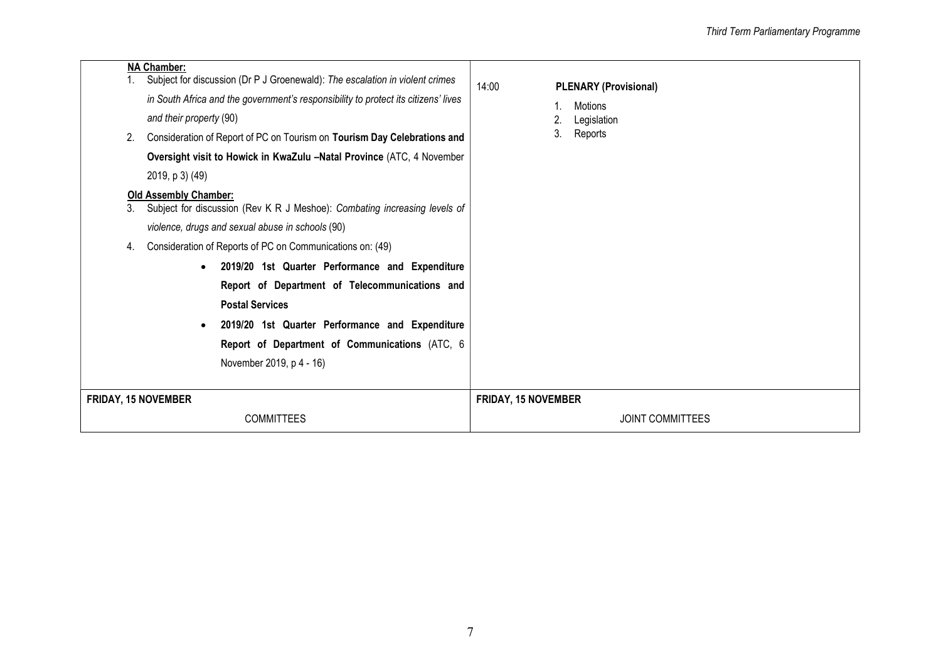|                            | <b>NA Chamber:</b>                                                                                              | Subject for discussion (Dr P J Groenewald): The escalation in violent crimes | 14:00                   | <b>PLENARY (Provisional)</b> |  |
|----------------------------|-----------------------------------------------------------------------------------------------------------------|------------------------------------------------------------------------------|-------------------------|------------------------------|--|
|                            | in South Africa and the government's responsibility to protect its citizens' lives                              |                                                                              |                         | Motions                      |  |
|                            | and their property (90)                                                                                         |                                                                              | 2.<br>3.                | Legislation                  |  |
|                            |                                                                                                                 | Consideration of Report of PC on Tourism on Tourism Day Celebrations and     |                         | Reports                      |  |
|                            |                                                                                                                 | Oversight visit to Howick in KwaZulu -Natal Province (ATC, 4 November        |                         |                              |  |
|                            | 2019, p 3) (49)                                                                                                 |                                                                              |                         |                              |  |
|                            | <b>Old Assembly Chamber:</b><br>Subject for discussion (Rev K R J Meshoe): Combating increasing levels of<br>3. |                                                                              |                         |                              |  |
|                            | violence, drugs and sexual abuse in schools (90)                                                                |                                                                              |                         |                              |  |
| 4.                         | Consideration of Reports of PC on Communications on: (49)                                                       |                                                                              |                         |                              |  |
|                            | 2019/20 1st Quarter Performance and Expenditure<br>$\bullet$                                                    |                                                                              |                         |                              |  |
|                            | Report of Department of Telecommunications and                                                                  |                                                                              |                         |                              |  |
|                            | <b>Postal Services</b>                                                                                          |                                                                              |                         |                              |  |
|                            |                                                                                                                 | 2019/20 1st Quarter Performance and Expenditure                              |                         |                              |  |
|                            | Report of Department of Communications (ATC, 6                                                                  |                                                                              |                         |                              |  |
|                            |                                                                                                                 | November 2019, p 4 - 16)                                                     |                         |                              |  |
|                            |                                                                                                                 |                                                                              |                         |                              |  |
| <b>FRIDAY, 15 NOVEMBER</b> |                                                                                                                 | <b>FRIDAY, 15 NOVEMBER</b>                                                   |                         |                              |  |
| <b>COMMITTEES</b>          |                                                                                                                 |                                                                              | <b>JOINT COMMITTEES</b> |                              |  |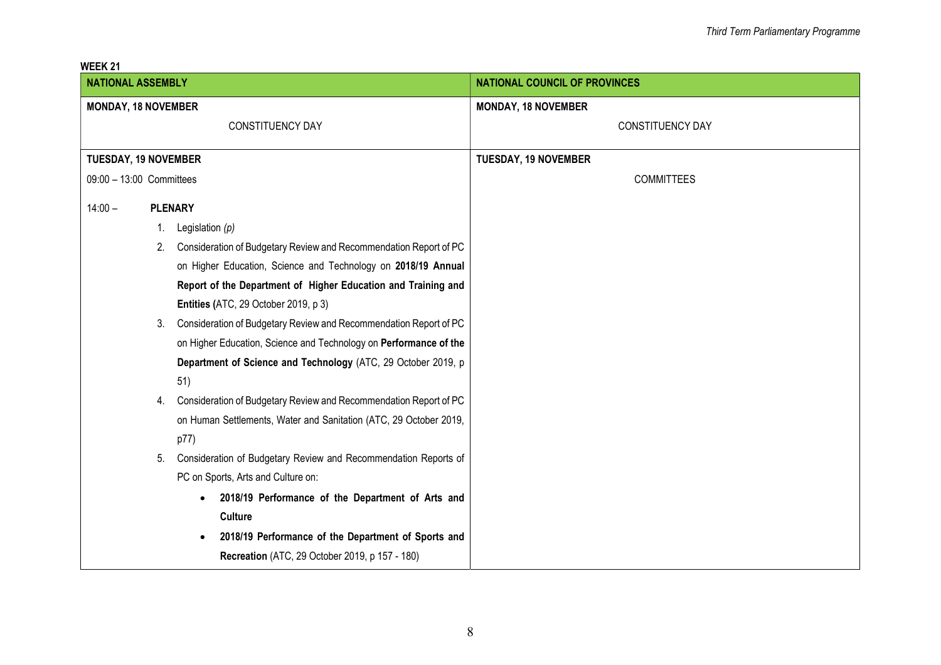|--|

| <b>NATIONAL ASSEMBLY</b>    |    |                                                                   | <b>NATIONAL COUNCIL OF PROVINCES</b> |
|-----------------------------|----|-------------------------------------------------------------------|--------------------------------------|
| <b>MONDAY, 18 NOVEMBER</b>  |    |                                                                   | <b>MONDAY, 18 NOVEMBER</b>           |
|                             |    | CONSTITUENCY DAY                                                  | <b>CONSTITUENCY DAY</b>              |
|                             |    |                                                                   |                                      |
| <b>TUESDAY, 19 NOVEMBER</b> |    |                                                                   | <b>TUESDAY, 19 NOVEMBER</b>          |
| 09:00 - 13:00 Committees    |    |                                                                   | <b>COMMITTEES</b>                    |
| $14:00 -$                   |    | <b>PLENARY</b>                                                    |                                      |
|                             | 1. | Legislation $(p)$                                                 |                                      |
|                             | 2. | Consideration of Budgetary Review and Recommendation Report of PC |                                      |
|                             |    | on Higher Education, Science and Technology on 2018/19 Annual     |                                      |
|                             |    | Report of the Department of Higher Education and Training and     |                                      |
|                             |    | Entities (ATC, 29 October 2019, p 3)                              |                                      |
|                             | 3. | Consideration of Budgetary Review and Recommendation Report of PC |                                      |
|                             |    | on Higher Education, Science and Technology on Performance of the |                                      |
|                             |    | Department of Science and Technology (ATC, 29 October 2019, p     |                                      |
|                             |    | 51)                                                               |                                      |
|                             | 4. | Consideration of Budgetary Review and Recommendation Report of PC |                                      |
|                             |    | on Human Settlements, Water and Sanitation (ATC, 29 October 2019, |                                      |
|                             |    | p77)                                                              |                                      |
|                             | 5. | Consideration of Budgetary Review and Recommendation Reports of   |                                      |
|                             |    | PC on Sports, Arts and Culture on:                                |                                      |
|                             |    | 2018/19 Performance of the Department of Arts and<br>$\bullet$    |                                      |
|                             |    | <b>Culture</b>                                                    |                                      |
|                             |    | 2018/19 Performance of the Department of Sports and<br>$\bullet$  |                                      |
|                             |    | <b>Recreation</b> (ATC, 29 October 2019, p 157 - 180)             |                                      |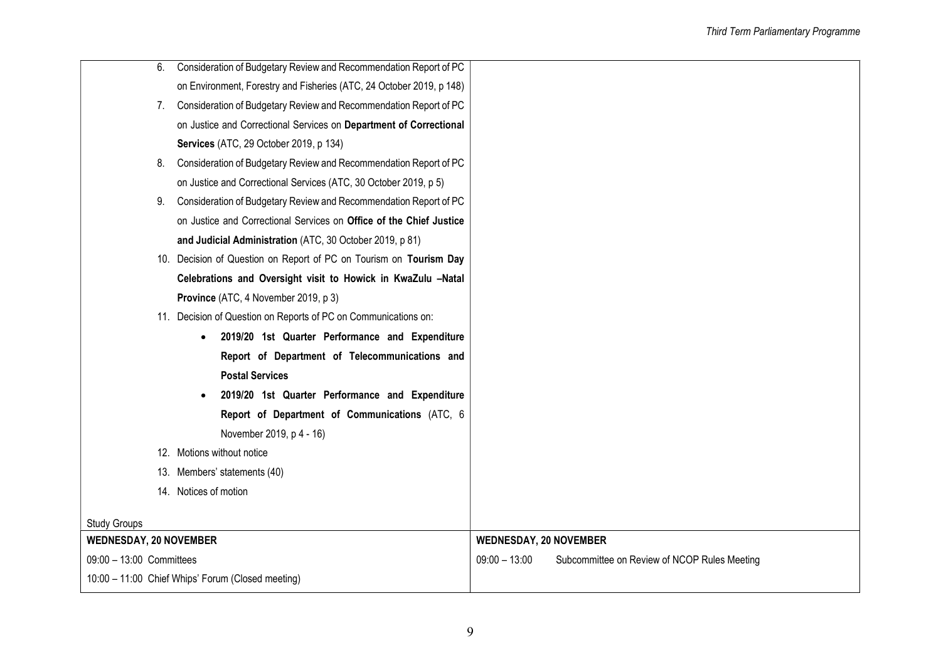| 6.                            | Consideration of Budgetary Review and Recommendation Report of PC    |                               |                                              |
|-------------------------------|----------------------------------------------------------------------|-------------------------------|----------------------------------------------|
|                               | on Environment, Forestry and Fisheries (ATC, 24 October 2019, p 148) |                               |                                              |
|                               | 7. Consideration of Budgetary Review and Recommendation Report of PC |                               |                                              |
|                               | on Justice and Correctional Services on Department of Correctional   |                               |                                              |
|                               | Services (ATC, 29 October 2019, p 134)                               |                               |                                              |
| 8.                            | Consideration of Budgetary Review and Recommendation Report of PC    |                               |                                              |
|                               | on Justice and Correctional Services (ATC, 30 October 2019, p 5)     |                               |                                              |
|                               | 9. Consideration of Budgetary Review and Recommendation Report of PC |                               |                                              |
|                               | on Justice and Correctional Services on Office of the Chief Justice  |                               |                                              |
|                               | and Judicial Administration (ATC, 30 October 2019, p 81)             |                               |                                              |
|                               | 10. Decision of Question on Report of PC on Tourism on Tourism Day   |                               |                                              |
|                               | Celebrations and Oversight visit to Howick in KwaZulu -Natal         |                               |                                              |
|                               | Province (ATC, 4 November 2019, p 3)                                 |                               |                                              |
|                               | 11. Decision of Question on Reports of PC on Communications on:      |                               |                                              |
|                               | 2019/20 1st Quarter Performance and Expenditure<br>$\bullet$         |                               |                                              |
|                               | Report of Department of Telecommunications and                       |                               |                                              |
|                               | <b>Postal Services</b>                                               |                               |                                              |
|                               | 2019/20 1st Quarter Performance and Expenditure<br>$\bullet$         |                               |                                              |
|                               | Report of Department of Communications (ATC, 6                       |                               |                                              |
|                               | November 2019, p 4 - 16)                                             |                               |                                              |
|                               | 12. Motions without notice                                           |                               |                                              |
|                               | 13. Members' statements (40)                                         |                               |                                              |
|                               | 14. Notices of motion                                                |                               |                                              |
|                               |                                                                      |                               |                                              |
| <b>Study Groups</b>           |                                                                      |                               |                                              |
| <b>WEDNESDAY, 20 NOVEMBER</b> |                                                                      | <b>WEDNESDAY, 20 NOVEMBER</b> |                                              |
| 09:00 - 13:00 Committees      |                                                                      | $09:00 - 13:00$               | Subcommittee on Review of NCOP Rules Meeting |
|                               | 10:00 - 11:00 Chief Whips' Forum (Closed meeting)                    |                               |                                              |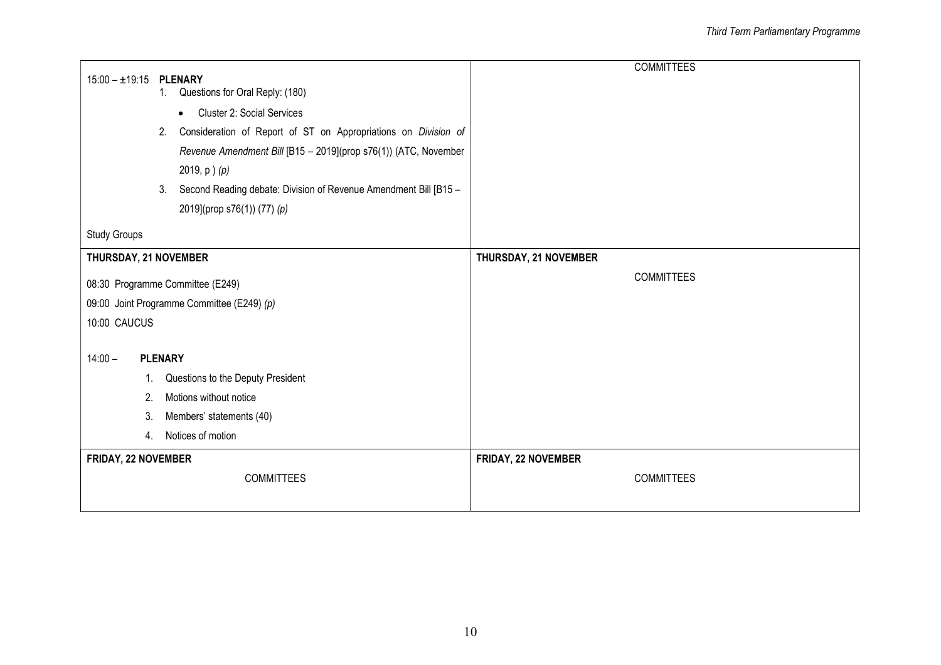| $15:00 - 19:15$<br><b>PLENARY</b><br>1. Questions for Oral Reply: (180)<br><b>Cluster 2: Social Services</b><br>$\bullet$<br>Consideration of Report of ST on Appropriations on Division of<br>2.<br>Revenue Amendment Bill [B15 - 2019](prop s76(1)) (ATC, November<br>2019, $p$ ) $(p)$<br>Second Reading debate: Division of Revenue Amendment Bill [B15 -<br>3. | <b>COMMITTEES</b>     |
|---------------------------------------------------------------------------------------------------------------------------------------------------------------------------------------------------------------------------------------------------------------------------------------------------------------------------------------------------------------------|-----------------------|
| 2019](prop s76(1)) (77) (p)                                                                                                                                                                                                                                                                                                                                         |                       |
| <b>Study Groups</b>                                                                                                                                                                                                                                                                                                                                                 |                       |
| THURSDAY, 21 NOVEMBER                                                                                                                                                                                                                                                                                                                                               | THURSDAY, 21 NOVEMBER |
| 08:30 Programme Committee (E249)                                                                                                                                                                                                                                                                                                                                    | <b>COMMITTEES</b>     |
| 09:00 Joint Programme Committee (E249) (p)                                                                                                                                                                                                                                                                                                                          |                       |
| 10:00 CAUCUS                                                                                                                                                                                                                                                                                                                                                        |                       |
| $14:00 -$<br><b>PLENARY</b>                                                                                                                                                                                                                                                                                                                                         |                       |
| Questions to the Deputy President<br>1.                                                                                                                                                                                                                                                                                                                             |                       |
| Motions without notice<br>2.                                                                                                                                                                                                                                                                                                                                        |                       |
| Members' statements (40)<br>3.                                                                                                                                                                                                                                                                                                                                      |                       |
| Notices of motion<br>4.                                                                                                                                                                                                                                                                                                                                             |                       |
| FRIDAY, 22 NOVEMBER                                                                                                                                                                                                                                                                                                                                                 | FRIDAY, 22 NOVEMBER   |
| <b>COMMITTEES</b>                                                                                                                                                                                                                                                                                                                                                   | <b>COMMITTEES</b>     |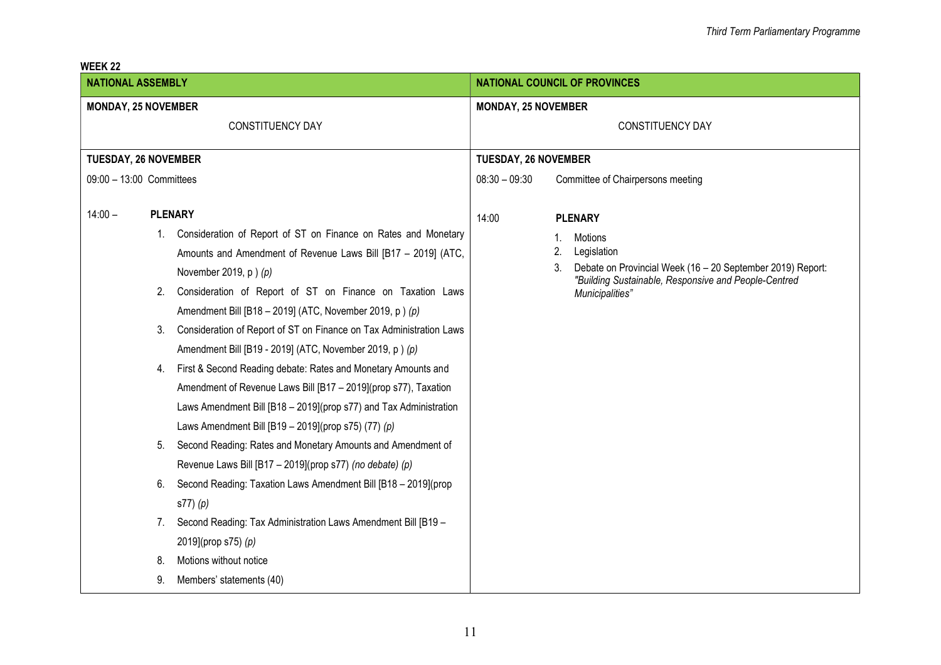| VLLI\ ZZ<br><b>NATIONAL ASSEMBLY</b>                              |    |                                                                     |                 | <b>NATIONAL COUNCIL OF PROVINCES</b>                                    |  |  |
|-------------------------------------------------------------------|----|---------------------------------------------------------------------|-----------------|-------------------------------------------------------------------------|--|--|
| <b>MONDAY, 25 NOVEMBER</b>                                        |    | <b>MONDAY, 25 NOVEMBER</b>                                          |                 |                                                                         |  |  |
|                                                                   |    | <b>CONSTITUENCY DAY</b>                                             |                 | <b>CONSTITUENCY DAY</b>                                                 |  |  |
|                                                                   |    |                                                                     |                 |                                                                         |  |  |
| <b>TUESDAY, 26 NOVEMBER</b>                                       |    |                                                                     |                 | <b>TUESDAY, 26 NOVEMBER</b>                                             |  |  |
| 09:00 - 13:00 Committees                                          |    |                                                                     | $08:30 - 09:30$ | Committee of Chairpersons meeting                                       |  |  |
| $14:00 -$                                                         |    | <b>PLENARY</b>                                                      | 14:00           | <b>PLENARY</b>                                                          |  |  |
|                                                                   |    | 1. Consideration of Report of ST on Finance on Rates and Monetary   |                 | Motions                                                                 |  |  |
|                                                                   |    | Amounts and Amendment of Revenue Laws Bill [B17 - 2019] (ATC,       |                 | 2.<br>Legislation                                                       |  |  |
|                                                                   |    | November 2019, $p$ ) $(p)$                                          |                 | Debate on Provincial Week (16 - 20 September 2019) Report:<br>3.        |  |  |
|                                                                   | 2. | Consideration of Report of ST on Finance on Taxation Laws           |                 | "Building Sustainable, Responsive and People-Centred<br>Municipalities" |  |  |
|                                                                   |    | Amendment Bill [B18 - 2019] (ATC, November 2019, p) (p)             |                 |                                                                         |  |  |
|                                                                   | 3. | Consideration of Report of ST on Finance on Tax Administration Laws |                 |                                                                         |  |  |
|                                                                   |    | Amendment Bill [B19 - 2019] (ATC, November 2019, p) (p)             |                 |                                                                         |  |  |
|                                                                   | 4. | First & Second Reading debate: Rates and Monetary Amounts and       |                 |                                                                         |  |  |
|                                                                   |    | Amendment of Revenue Laws Bill [B17 - 2019](prop s77), Taxation     |                 |                                                                         |  |  |
|                                                                   |    | Laws Amendment Bill [B18 - 2019](prop s77) and Tax Administration   |                 |                                                                         |  |  |
|                                                                   |    | Laws Amendment Bill $[B19 - 2019]$ (prop s75) (77) (p)              |                 |                                                                         |  |  |
| Second Reading: Rates and Monetary Amounts and Amendment of<br>5. |    |                                                                     |                 |                                                                         |  |  |
|                                                                   |    | Revenue Laws Bill [B17 - 2019](prop s77) (no debate) (p)            |                 |                                                                         |  |  |
|                                                                   | 6. | Second Reading: Taxation Laws Amendment Bill [B18 - 2019](prop      |                 |                                                                         |  |  |
|                                                                   |    | $s77)$ (p)                                                          |                 |                                                                         |  |  |
|                                                                   | 7. | Second Reading: Tax Administration Laws Amendment Bill [B19 -       |                 |                                                                         |  |  |
|                                                                   |    | 2019](prop s75) (p)                                                 |                 |                                                                         |  |  |
|                                                                   | 8. | Motions without notice                                              |                 |                                                                         |  |  |
|                                                                   | 9. | Members' statements (40)                                            |                 |                                                                         |  |  |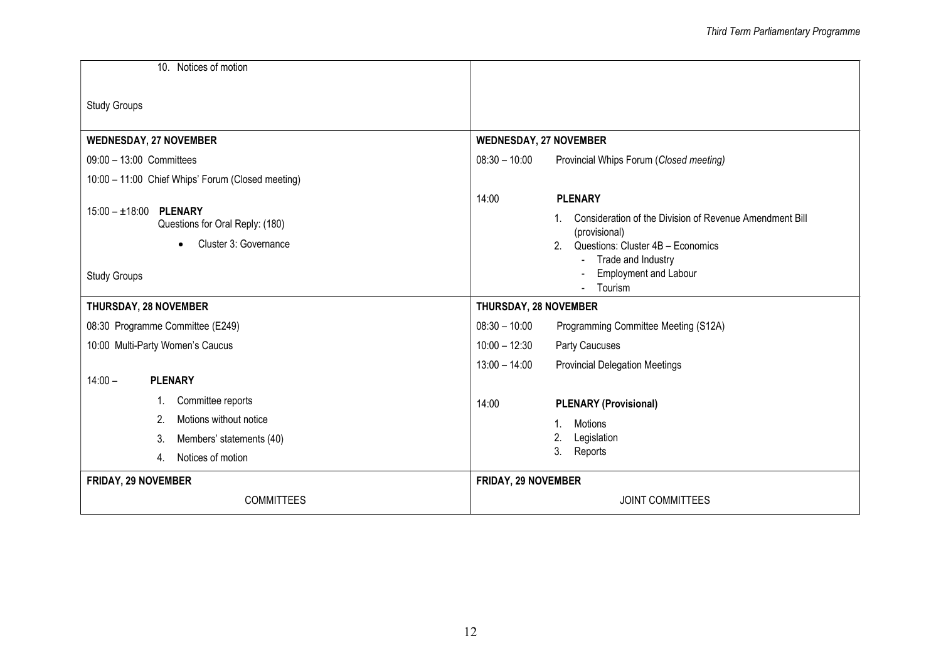| 10. Notices of motion                                                    |                                                                      |  |  |
|--------------------------------------------------------------------------|----------------------------------------------------------------------|--|--|
| <b>Study Groups</b>                                                      |                                                                      |  |  |
| <b>WEDNESDAY, 27 NOVEMBER</b>                                            | <b>WEDNESDAY, 27 NOVEMBER</b>                                        |  |  |
| 09:00 - 13:00 Committees                                                 | $08:30 - 10:00$<br>Provincial Whips Forum (Closed meeting)           |  |  |
| 10:00 - 11:00 Chief Whips' Forum (Closed meeting)                        |                                                                      |  |  |
|                                                                          | 14:00<br><b>PLENARY</b>                                              |  |  |
| <b>PLENARY</b><br>$15:00 - \pm 18:00$<br>Questions for Oral Reply: (180) | Consideration of the Division of Revenue Amendment Bill              |  |  |
| Cluster 3: Governance<br>$\bullet$                                       | (provisional)<br>Questions: Cluster 4B - Economics<br>$\mathfrak{p}$ |  |  |
|                                                                          | Trade and Industry                                                   |  |  |
| <b>Study Groups</b>                                                      | <b>Employment and Labour</b><br>Tourism                              |  |  |
| <b>THURSDAY, 28 NOVEMBER</b>                                             | THURSDAY, 28 NOVEMBER                                                |  |  |
| 08:30 Programme Committee (E249)                                         | $08:30 - 10:00$<br>Programming Committee Meeting (S12A)              |  |  |
| 10:00 Multi-Party Women's Caucus                                         | $10:00 - 12:30$<br>Party Caucuses                                    |  |  |
|                                                                          | $13:00 - 14:00$<br><b>Provincial Delegation Meetings</b>             |  |  |
| $14:00 -$<br><b>PLENARY</b>                                              |                                                                      |  |  |
| Committee reports                                                        | 14:00<br><b>PLENARY (Provisional)</b>                                |  |  |
| Motions without notice<br>2.                                             | <b>Motions</b><br>$\mathbf 1$                                        |  |  |
| 3.<br>Members' statements (40)                                           | Legislation<br>2.                                                    |  |  |
| Notices of motion<br>4.                                                  | 3.<br>Reports                                                        |  |  |
| <b>FRIDAY, 29 NOVEMBER</b>                                               | <b>FRIDAY, 29 NOVEMBER</b>                                           |  |  |
| <b>COMMITTEES</b>                                                        | <b>JOINT COMMITTEES</b>                                              |  |  |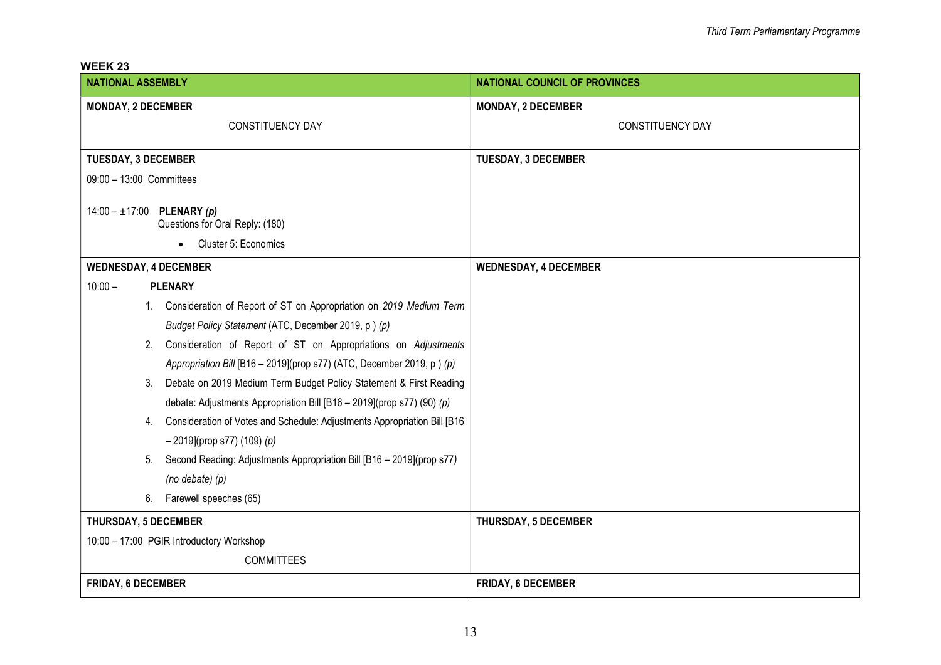WEEK 23

| <b>NATIONAL ASSEMBLY</b>                                                       | <b>NATIONAL COUNCIL OF PROVINCES</b> |
|--------------------------------------------------------------------------------|--------------------------------------|
| <b>MONDAY, 2 DECEMBER</b>                                                      | <b>MONDAY, 2 DECEMBER</b>            |
| CONSTITUENCY DAY                                                               | CONSTITUENCY DAY                     |
| <b>TUESDAY, 3 DECEMBER</b>                                                     | <b>TUESDAY, 3 DECEMBER</b>           |
| 09:00 - 13:00 Committees                                                       |                                      |
|                                                                                |                                      |
| $14:00 - \pm 17:00$ PLENARY (p)<br>Questions for Oral Reply: (180)             |                                      |
| Cluster 5: Economics                                                           |                                      |
| <b>WEDNESDAY, 4 DECEMBER</b>                                                   | <b>WEDNESDAY, 4 DECEMBER</b>         |
| $10:00 -$<br><b>PLENARY</b>                                                    |                                      |
| 1. Consideration of Report of ST on Appropriation on 2019 Medium Term          |                                      |
| Budget Policy Statement (ATC, December 2019, p) (p)                            |                                      |
| Consideration of Report of ST on Appropriations on Adjustments<br>2.           |                                      |
| Appropriation Bill [B16 - 2019](prop s77) (ATC, December 2019, p) (p)          |                                      |
| Debate on 2019 Medium Term Budget Policy Statement & First Reading<br>3.       |                                      |
| debate: Adjustments Appropriation Bill [B16 - 2019](prop s77) (90) (p)         |                                      |
| Consideration of Votes and Schedule: Adjustments Appropriation Bill [B16<br>4. |                                      |
| $-$ 2019](prop s77) (109) (p)                                                  |                                      |
| Second Reading: Adjustments Appropriation Bill [B16 - 2019](prop s77)<br>5.    |                                      |
| (no debate) (p)                                                                |                                      |
| 6.<br>Farewell speeches (65)                                                   |                                      |
| <b>THURSDAY, 5 DECEMBER</b>                                                    | <b>THURSDAY, 5 DECEMBER</b>          |
| 10:00 - 17:00 PGIR Introductory Workshop                                       |                                      |
| <b>COMMITTEES</b>                                                              |                                      |
| <b>FRIDAY, 6 DECEMBER</b>                                                      | <b>FRIDAY, 6 DECEMBER</b>            |